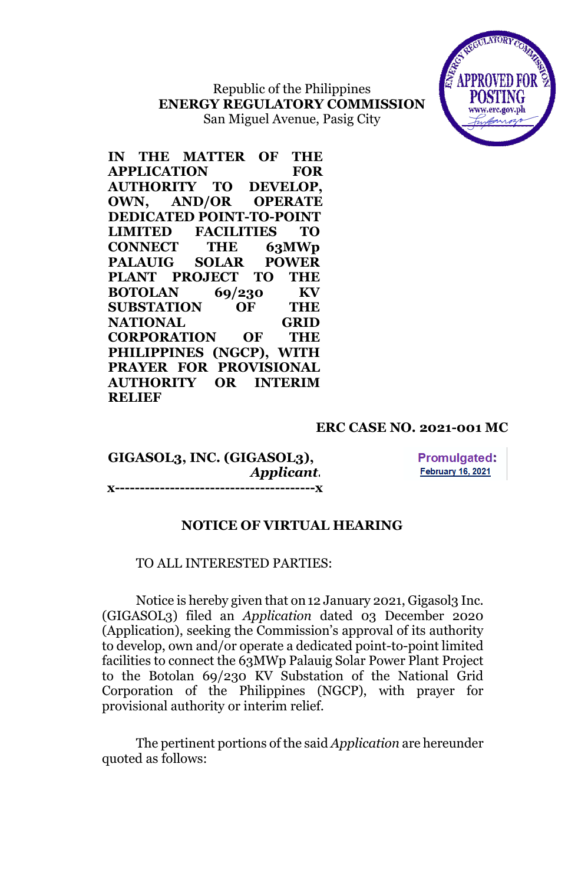Republic of the Philippines **ENERGY REGULATORY COMMISSION** San Miguel Avenue, Pasig City



**IN THE MATTER OF THE APPLICATION FOR AUTHORITY TO DEVELOP, OWN, AND/OR OPERATE DEDICATED POINT-TO-POINT LIMITED FACILITIES TO CONNECT THE 63MWp PALAUIG SOLAR POWER PLANT PROJECT TO THE BOTOLAN 69/230 KV SUBSTATION OF THE NATIONAL GRID CORPORATION OF THE PHILIPPINES (NGCP), WITH PRAYER FOR PROVISIONAL AUTHORITY OR INTERIM RELIEF**

### **ERC CASE NO. 2021-001 MC**

### **GIGASOL3, INC. (GIGASOL3),** *Applicant.* **x----------------------------------------x**

**Promulgated: February 16, 2021** 

### **NOTICE OF VIRTUAL HEARING**

### TO ALL INTERESTED PARTIES:

Notice is hereby given that on 12 January 2021, Gigasol<sub>3</sub> Inc. (GIGASOL3) filed an *Application* dated 03 December 2020 (Application), seeking the Commission's approval of its authority to develop, own and/or operate a dedicated point-to-point limited facilities to connect the 63MWp Palauig Solar Power Plant Project to the Botolan 69/230 KV Substation of the National Grid Corporation of the Philippines (NGCP), with prayer for provisional authority or interim relief.

The pertinent portions of the said *Application* are hereunder quoted as follows: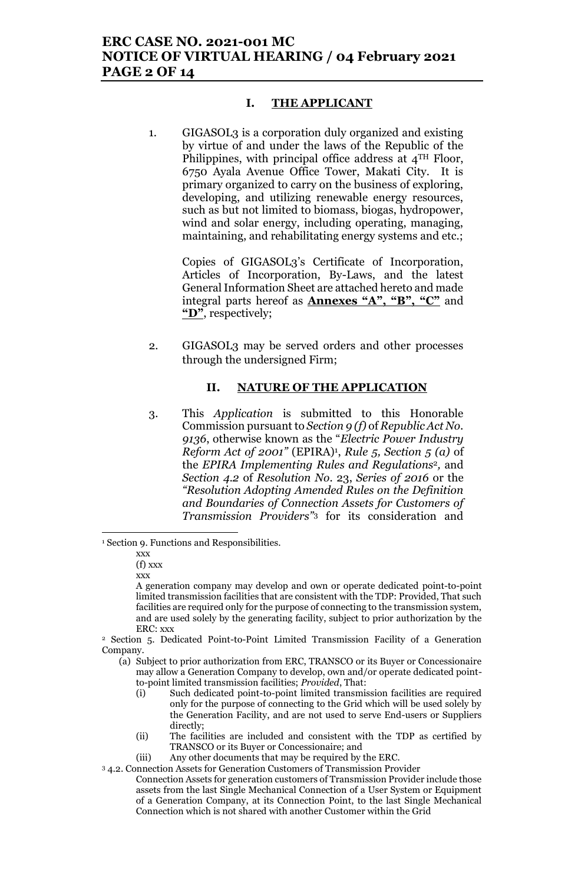### **ERC CASE NO. 2021-001 MC NOTICE OF VIRTUAL HEARING / 04 February 2021 PAGE 2 OF 14**

#### **I. THE APPLICANT**

1. GIGASOL3 is a corporation duly organized and existing by virtue of and under the laws of the Republic of the Philippines, with principal office address at 4TH Floor, 6750 Ayala Avenue Office Tower, Makati City. It is primary organized to carry on the business of exploring, developing, and utilizing renewable energy resources, such as but not limited to biomass, biogas, hydropower, wind and solar energy, including operating, managing, maintaining, and rehabilitating energy systems and etc.;

> Copies of GIGASOL3's Certificate of Incorporation, Articles of Incorporation, By-Laws, and the latest General Information Sheet are attached hereto and made integral parts hereof as **Annexes "A", "B", "C"** and **"D"**, respectively;

2. GIGASOL3 may be served orders and other processes through the undersigned Firm;

#### **II. NATURE OF THE APPLICATION**

3. This *Application* is submitted to this Honorable Commission pursuant to *Section 9 (f)* of *Republic Act No. 9136*, otherwise known as the "*Electric Power Industry Reform Act of 2001"* (EPIRA)<sup>1</sup> , *Rule 5, Section 5 (a)* of the *EPIRA Implementing Rules and Regulations*2*,* and *Section 4.2* of *Resolution No*. 23, *Series of 2016* or the *"Resolution Adopting Amended Rules on the Definition and Boundaries of Connection Assets for Customers of Transmission Providers"*<sup>3</sup> for its consideration and

l

 $(f)$  xxx xxx

- (i) Such dedicated point-to-point limited transmission facilities are required only for the purpose of connecting to the Grid which will be used solely by the Generation Facility, and are not used to serve End-users or Suppliers directly;
- (ii) The facilities are included and consistent with the TDP as certified by TRANSCO or its Buyer or Concessionaire; and
- (iii) Any other documents that may be required by the ERC.

<sup>1</sup> Section 9. Functions and Responsibilities.

xxx

A generation company may develop and own or operate dedicated point-to-point limited transmission facilities that are consistent with the TDP: Provided, That such facilities are required only for the purpose of connecting to the transmission system, and are used solely by the generating facility, subject to prior authorization by the ERC: xxx

<sup>2</sup> Section 5. Dedicated Point-to-Point Limited Transmission Facility of a Generation Company.

<sup>(</sup>a) Subject to prior authorization from ERC, TRANSCO or its Buyer or Concessionaire may allow a Generation Company to develop, own and/or operate dedicated pointto-point limited transmission facilities; *Provided*, That:

<sup>3</sup> 4.2. Connection Assets for Generation Customers of Transmission Provider Connection Assets for generation customers of Transmission Provider include those assets from the last Single Mechanical Connection of a User System or Equipment of a Generation Company, at its Connection Point, to the last Single Mechanical Connection which is not shared with another Customer within the Grid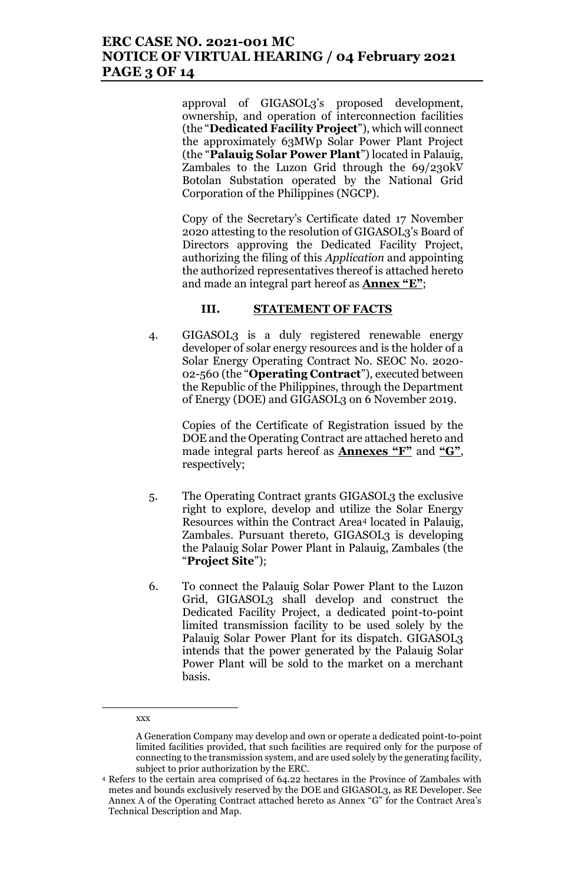# **ERC CASE NO. 2021-001 MC NOTICE OF VIRTUAL HEARING / 04 February 2021 PAGE 3 OF 14**

approval of GIGASOL3's proposed development, ownership, and operation of interconnection facilities (the "**Dedicated Facility Project**"), which will connect the approximately 63MWp Solar Power Plant Project (the "**Palauig Solar Power Plant**") located in Palauig, Zambales to the Luzon Grid through the 69/230kV Botolan Substation operated by the National Grid Corporation of the Philippines (NGCP).

Copy of the Secretary's Certificate dated 17 November 2020 attesting to the resolution of GIGASOL3's Board of Directors approving the Dedicated Facility Project, authorizing the filing of this *Application* and appointing the authorized representatives thereof is attached hereto and made an integral part hereof as **Annex "E"**;

#### **III. STATEMENT OF FACTS**

4. GIGASOL3 is a duly registered renewable energy developer of solar energy resources and is the holder of a Solar Energy Operating Contract No. SEOC No. 2020- 02-560 (the "**Operating Contract**"), executed between the Republic of the Philippines, through the Department of Energy (DOE) and GIGASOL3 on 6 November 2019.

> Copies of the Certificate of Registration issued by the DOE and the Operating Contract are attached hereto and made integral parts hereof as **Annexes "F"** and **"G"**, respectively;

- 5. The Operating Contract grants GIGASOL3 the exclusive right to explore, develop and utilize the Solar Energy Resources within the Contract Area<sup>4</sup> located in Palauig, Zambales. Pursuant thereto, GIGASOL3 is developing the Palauig Solar Power Plant in Palauig, Zambales (the "**Project Site**");
- 6. To connect the Palauig Solar Power Plant to the Luzon Grid, GIGASOL3 shall develop and construct the Dedicated Facility Project, a dedicated point-to-point limited transmission facility to be used solely by the Palauig Solar Power Plant for its dispatch. GIGASOL3 intends that the power generated by the Palauig Solar Power Plant will be sold to the market on a merchant basis.

#### xxx

 $\overline{\phantom{a}}$ 

A Generation Company may develop and own or operate a dedicated point-to-point limited facilities provided, that such facilities are required only for the purpose of connecting to the transmission system, and are used solely by the generating facility, subject to prior authorization by the ERC.

<sup>4</sup> Refers to the certain area comprised of 64.22 hectares in the Province of Zambales with metes and bounds exclusively reserved by the DOE and GIGASOL3, as RE Developer. See Annex A of the Operating Contract attached hereto as Annex "G" for the Contract Area's Technical Description and Map.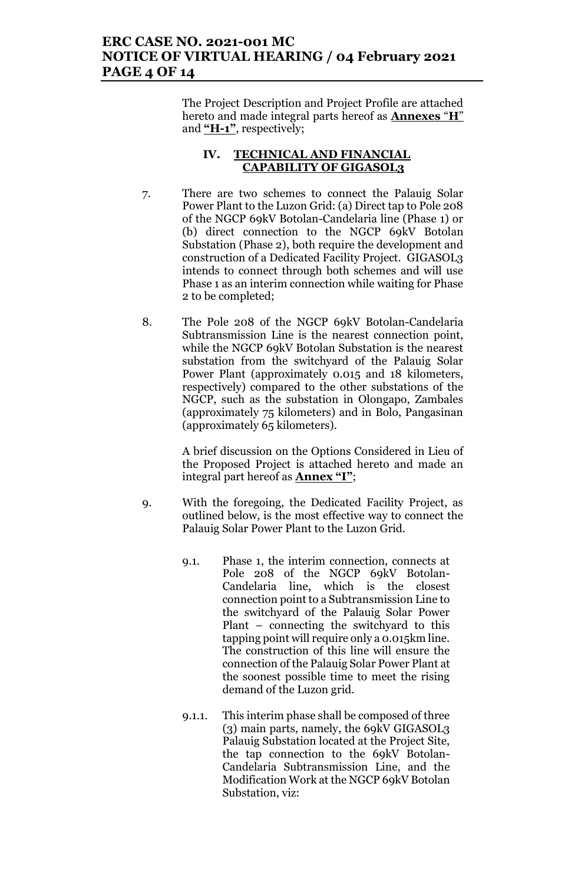# **ERC CASE NO. 2021-001 MC NOTICE OF VIRTUAL HEARING / 04 February 2021 PAGE 4 OF 14**

The Project Description and Project Profile are attached hereto and made integral parts hereof as **Annexes** "**H**" and **"H-1"**, respectively;

### **IV. TECHNICAL AND FINANCIAL CAPABILITY OF GIGASOL3**

- 7. There are two schemes to connect the Palauig Solar Power Plant to the Luzon Grid: (a) Direct tap to Pole 208 of the NGCP 69kV Botolan-Candelaria line (Phase 1) or (b) direct connection to the NGCP 69kV Botolan Substation (Phase 2), both require the development and construction of a Dedicated Facility Project. GIGASOL3 intends to connect through both schemes and will use Phase 1 as an interim connection while waiting for Phase 2 to be completed;
- 8. The Pole 208 of the NGCP 69kV Botolan-Candelaria Subtransmission Line is the nearest connection point, while the NGCP 69kV Botolan Substation is the nearest substation from the switchyard of the Palauig Solar Power Plant (approximately 0.015 and 18 kilometers, respectively) compared to the other substations of the NGCP, such as the substation in Olongapo, Zambales (approximately 75 kilometers) and in Bolo, Pangasinan (approximately 65 kilometers).

A brief discussion on the Options Considered in Lieu of the Proposed Project is attached hereto and made an integral part hereof as **Annex "I"**;

- 9. With the foregoing, the Dedicated Facility Project, as outlined below, is the most effective way to connect the Palauig Solar Power Plant to the Luzon Grid.
	- 9.1. Phase 1, the interim connection, connects at Pole 208 of the NGCP 69kV Botolan-Candelaria line, which is the closest connection point to a Subtransmission Line to the switchyard of the Palauig Solar Power Plant – connecting the switchyard to this tapping point will require only a 0.015km line. The construction of this line will ensure the connection of the Palauig Solar Power Plant at the soonest possible time to meet the rising demand of the Luzon grid.
	- 9.1.1. This interim phase shall be composed of three (3) main parts, namely, the 69kV GIGASOL3 Palauig Substation located at the Project Site, the tap connection to the 69kV Botolan-Candelaria Subtransmission Line, and the Modification Work at the NGCP 69kV Botolan Substation, viz: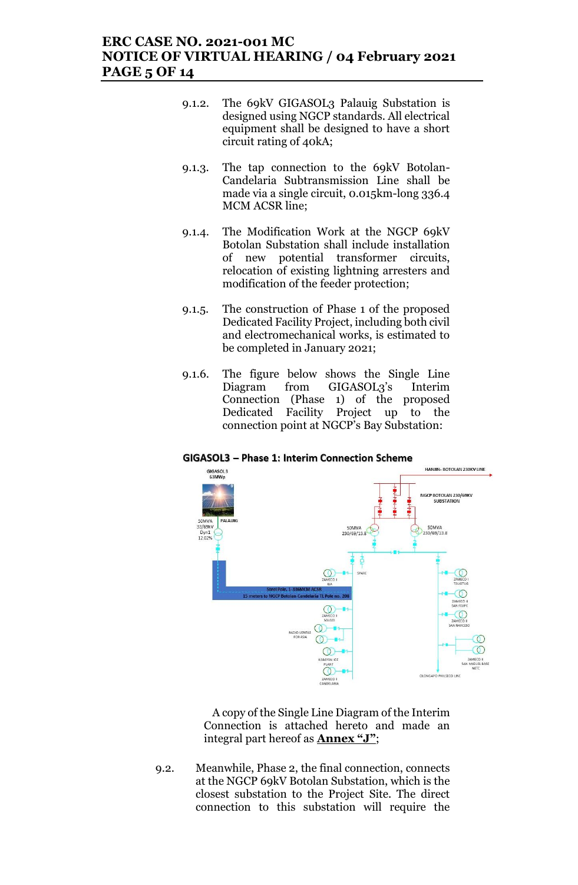### **ERC CASE NO. 2021-001 MC NOTICE OF VIRTUAL HEARING / 04 February 2021 PAGE 5 OF 14**

- 9.1.2. The 69kV GIGASOL3 Palauig Substation is designed using NGCP standards. All electrical equipment shall be designed to have a short circuit rating of 40kA;
- 9.1.3. The tap connection to the 69kV Botolan-Candelaria Subtransmission Line shall be made via a single circuit, 0.015km-long 336.4 MCM ACSR line;
- 9.1.4. The Modification Work at the NGCP 69kV Botolan Substation shall include installation of new potential transformer circuits, relocation of existing lightning arresters and modification of the feeder protection;
- 9.1.5. The construction of Phase 1 of the proposed Dedicated Facility Project, including both civil and electromechanical works, is estimated to be completed in January 2021;
- 9.1.6. The figure below shows the Single Line Diagram from GIGASOL3's Interim Connection (Phase 1) of the proposed Dedicated Facility Project up to the connection point at NGCP's Bay Substation:

# HANJIN- BOTOLAN 230KV LINE GIGASOL3

GIGASOL3 - Phase 1: Interim Connection Scheme



A copy of the Single Line Diagram of the Interim Connection is attached hereto and made an integral part hereof as **Annex "J"**;

9.2. Meanwhile, Phase 2, the final connection, connects at the NGCP 69kV Botolan Substation, which is the closest substation to the Project Site. The direct connection to this substation will require the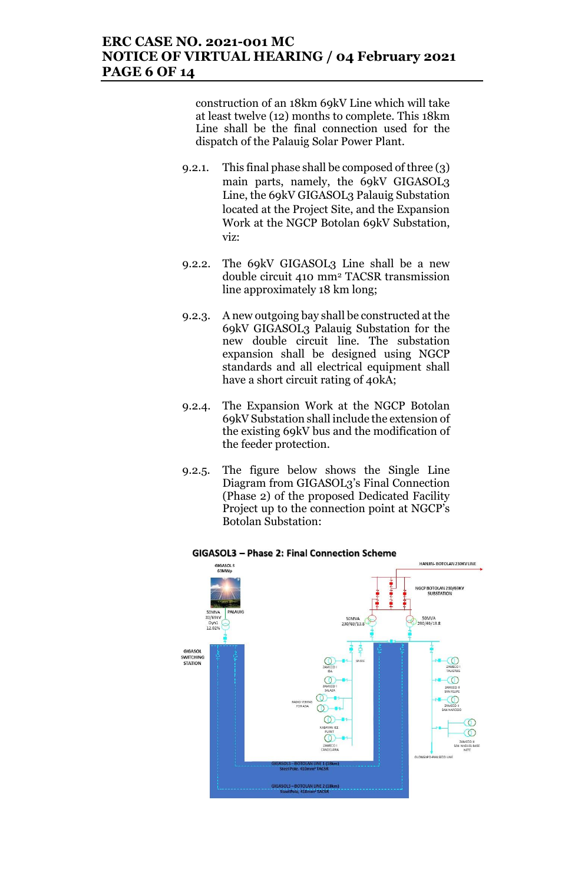# **ERC CASE NO. 2021-001 MC NOTICE OF VIRTUAL HEARING / 04 February 2021 PAGE 6 OF 14**

construction of an 18km 69kV Line which will take at least twelve (12) months to complete. This 18km Line shall be the final connection used for the dispatch of the Palauig Solar Power Plant.

- 9.2.1. This final phase shall be composed of three (3) main parts, namely, the 69kV GIGASOL3 Line, the 69kV GIGASOL3 Palauig Substation located at the Project Site, and the Expansion Work at the NGCP Botolan 69kV Substation, viz:
- 9.2.2. The 69kV GIGASOL3 Line shall be a new double circuit 410 mm<sup>2</sup> TACSR transmission line approximately 18 km long;
- 9.2.3. A new outgoing bay shall be constructed at the 69kV GIGASOL3 Palauig Substation for the new double circuit line. The substation expansion shall be designed using NGCP standards and all electrical equipment shall have a short circuit rating of 40kA;
- 9.2.4. The Expansion Work at the NGCP Botolan 69kV Substation shall include the extension of the existing 69kV bus and the modification of the feeder protection.
- 9.2.5. The figure below shows the Single Line Diagram from GIGASOL3's Final Connection (Phase 2) of the proposed Dedicated Facility Project up to the connection point at NGCP's Botolan Substation:



#### GIGASOL3 - Phase 2: Final Connection Scheme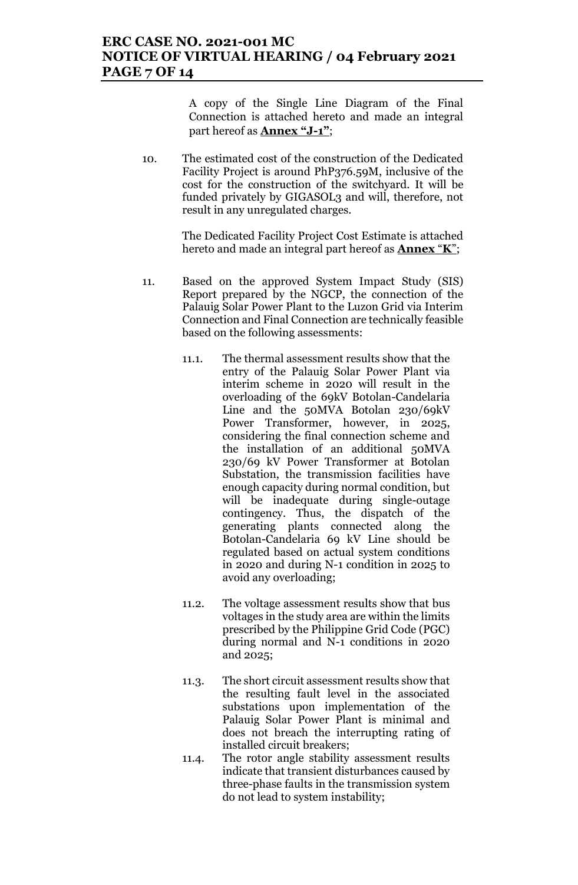### **ERC CASE NO. 2021-001 MC NOTICE OF VIRTUAL HEARING / 04 February 2021 PAGE 7 OF 14**

A copy of the Single Line Diagram of the Final Connection is attached hereto and made an integral part hereof as **Annex "J-1"**;

10. The estimated cost of the construction of the Dedicated Facility Project is around PhP376.59M, inclusive of the cost for the construction of the switchyard. It will be funded privately by GIGASOL3 and will, therefore, not result in any unregulated charges.

> The Dedicated Facility Project Cost Estimate is attached hereto and made an integral part hereof as **Annex** "**K**";

- 11. Based on the approved System Impact Study (SIS) Report prepared by the NGCP, the connection of the Palauig Solar Power Plant to the Luzon Grid via Interim Connection and Final Connection are technically feasible based on the following assessments:
	- 11.1. The thermal assessment results show that the entry of the Palauig Solar Power Plant via interim scheme in 2020 will result in the overloading of the 69kV Botolan-Candelaria Line and the 50MVA Botolan 230/69kV Power Transformer, however, in 2025, considering the final connection scheme and the installation of an additional 50MVA 230/69 kV Power Transformer at Botolan Substation, the transmission facilities have enough capacity during normal condition, but will be inadequate during single-outage contingency. Thus, the dispatch of the generating plants connected along the Botolan-Candelaria 69 kV Line should be regulated based on actual system conditions in 2020 and during N-1 condition in 2025 to avoid any overloading;
	- 11.2. The voltage assessment results show that bus voltages in the study area are within the limits prescribed by the Philippine Grid Code (PGC) during normal and N-1 conditions in 2020 and 2025;
	- 11.3. The short circuit assessment results show that the resulting fault level in the associated substations upon implementation of the Palauig Solar Power Plant is minimal and does not breach the interrupting rating of installed circuit breakers;
	- 11.4. The rotor angle stability assessment results indicate that transient disturbances caused by three-phase faults in the transmission system do not lead to system instability;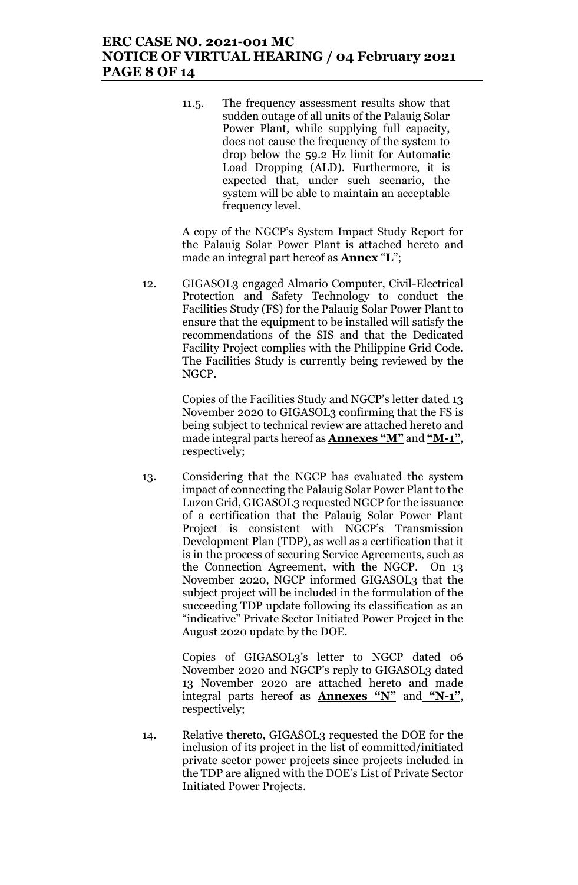# **ERC CASE NO. 2021-001 MC NOTICE OF VIRTUAL HEARING / 04 February 2021 PAGE 8 OF 14**

11.5. The frequency assessment results show that sudden outage of all units of the Palauig Solar Power Plant, while supplying full capacity, does not cause the frequency of the system to drop below the 59.2 Hz limit for Automatic Load Dropping (ALD). Furthermore, it is expected that, under such scenario, the system will be able to maintain an acceptable frequency level.

A copy of the NGCP's System Impact Study Report for the Palauig Solar Power Plant is attached hereto and made an integral part hereof as **Annex** "**L**";

12. GIGASOL3 engaged Almario Computer, Civil-Electrical Protection and Safety Technology to conduct the Facilities Study (FS) for the Palauig Solar Power Plant to ensure that the equipment to be installed will satisfy the recommendations of the SIS and that the Dedicated Facility Project complies with the Philippine Grid Code. The Facilities Study is currently being reviewed by the NGCP.

> Copies of the Facilities Study and NGCP's letter dated 13 November 2020 to GIGASOL3 confirming that the FS is being subject to technical review are attached hereto and made integral parts hereof as **Annexes "M"** and **"M-1"**, respectively;

13. Considering that the NGCP has evaluated the system impact of connecting the Palauig Solar Power Plant to the Luzon Grid, GIGASOL3 requested NGCP for the issuance of a certification that the Palauig Solar Power Plant Project is consistent with NGCP's Transmission Development Plan (TDP), as well as a certification that it is in the process of securing Service Agreements, such as the Connection Agreement, with the NGCP. On 13 November 2020, NGCP informed GIGASOL3 that the subject project will be included in the formulation of the succeeding TDP update following its classification as an "indicative" Private Sector Initiated Power Project in the August 2020 update by the DOE.

> Copies of GIGASOL3's letter to NGCP dated 06 November 2020 and NGCP's reply to GIGASOL3 dated 13 November 2020 are attached hereto and made integral parts hereof as **Annexes "N"** and **"N-1"**, respectively;

14. Relative thereto, GIGASOL3 requested the DOE for the inclusion of its project in the list of committed/initiated private sector power projects since projects included in the TDP are aligned with the DOE's List of Private Sector Initiated Power Projects.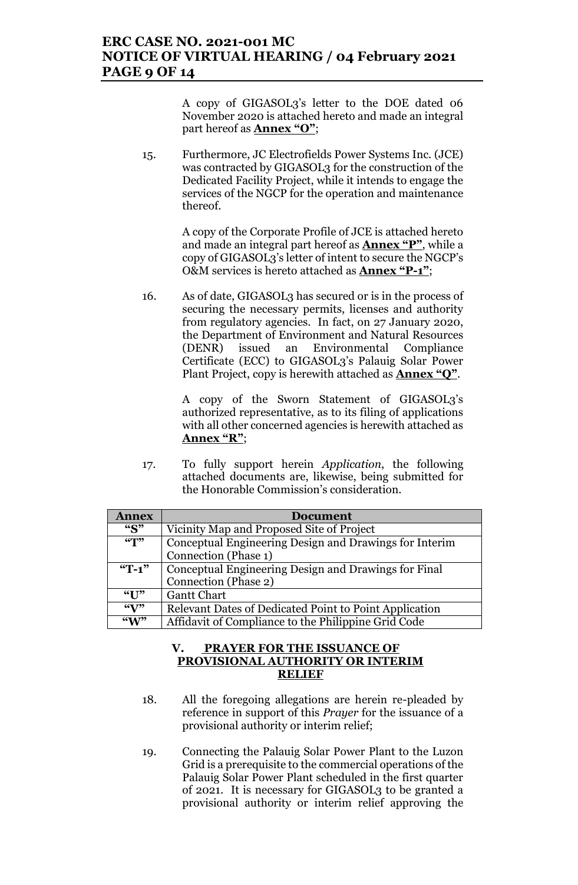# **ERC CASE NO. 2021-001 MC NOTICE OF VIRTUAL HEARING / 04 February 2021 PAGE 9 OF 14**

A copy of GIGASOL3's letter to the DOE dated 06 November 2020 is attached hereto and made an integral part hereof as **Annex "O"**;

15. Furthermore, JC Electrofields Power Systems Inc. (JCE) was contracted by GIGASOL3 for the construction of the Dedicated Facility Project, while it intends to engage the services of the NGCP for the operation and maintenance thereof.

> A copy of the Corporate Profile of JCE is attached hereto and made an integral part hereof as **Annex "P"**, while a copy of GIGASOL3's letter of intent to secure the NGCP's O&M services is hereto attached as **Annex "P-1"**;

16. As of date, GIGASOL3 has secured or is in the process of securing the necessary permits, licenses and authority from regulatory agencies. In fact, on 27 January 2020, the Department of Environment and Natural Resources (DENR) issued an Environmental Compliance Certificate (ECC) to GIGASOL3's Palauig Solar Power Plant Project, copy is herewith attached as **Annex "Q"**.

> A copy of the Sworn Statement of GIGASOL3's authorized representative, as to its filing of applications with all other concerned agencies is herewith attached as **Annex "R"**;

17. To fully support herein *Application*, the following attached documents are, likewise, being submitted for the Honorable Commission's consideration.

| <b>Annex</b>              | <b>Document</b>                                        |
|---------------------------|--------------------------------------------------------|
| ``S"                      | Vicinity Map and Proposed Site of Project              |
| $\sqrt{(T')^2}$           | Conceptual Engineering Design and Drawings for Interim |
|                           | Connection (Phase 1)                                   |
| $T-1$ "                   | Conceptual Engineering Design and Drawings for Final   |
|                           | Connection (Phase 2)                                   |
| ``I"                      | <b>Gantt Chart</b>                                     |
| $\mathcal{C}(\mathbf{V})$ | Relevant Dates of Dedicated Point to Point Application |
| $\mathbf{W}$              | Affidavit of Compliance to the Philippine Grid Code    |

### **V. PRAYER FOR THE ISSUANCE OF PROVISIONAL AUTHORITY OR INTERIM RELIEF**

- 18. All the foregoing allegations are herein re-pleaded by reference in support of this *Prayer* for the issuance of a provisional authority or interim relief;
- 19. Connecting the Palauig Solar Power Plant to the Luzon Grid is a prerequisite to the commercial operations of the Palauig Solar Power Plant scheduled in the first quarter of 2021. It is necessary for GIGASOL3 to be granted a provisional authority or interim relief approving the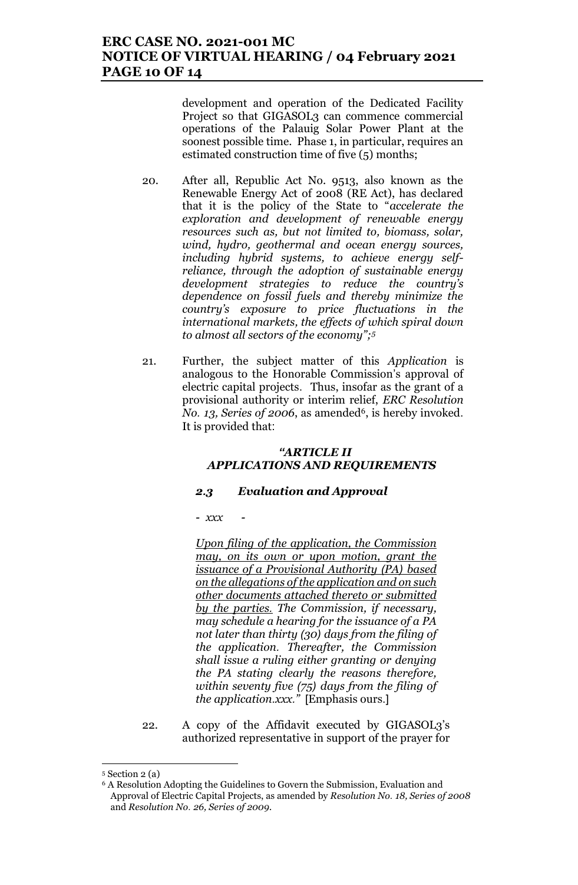# **ERC CASE NO. 2021-001 MC NOTICE OF VIRTUAL HEARING / 04 February 2021 PAGE 10 OF 14**

development and operation of the Dedicated Facility Project so that GIGASOL3 can commence commercial operations of the Palauig Solar Power Plant at the soonest possible time. Phase 1, in particular, requires an estimated construction time of five (5) months;

- 20. After all, Republic Act No. 9513, also known as the Renewable Energy Act of 2008 (RE Act), has declared that it is the policy of the State to "*accelerate the exploration and development of renewable energy resources such as, but not limited to, biomass, solar, wind, hydro, geothermal and ocean energy sources, including hybrid systems, to achieve energy selfreliance, through the adoption of sustainable energy development strategies to reduce the country's dependence on fossil fuels and thereby minimize the country's exposure to price fluctuations in the international markets, the effects of which spiral down to almost all sectors of the economy";<sup>5</sup>*
- 21. Further, the subject matter of this *Application* is analogous to the Honorable Commission's approval of electric capital projects. Thus, insofar as the grant of a provisional authority or interim relief, *ERC Resolution No.* 13, *Series of 2006*, as amended<sup>6</sup>, is hereby invoked. It is provided that:

### *"ARTICLE II APPLICATIONS AND REQUIREMENTS*

### *2.3 Evaluation and Approval*

*- xxx -*

*Upon filing of the application, the Commission may, on its own or upon motion, grant the issuance of a Provisional Authority (PA) based on the allegations of the application and on such other documents attached thereto or submitted by the parties. The Commission, if necessary, may schedule a hearing for the issuance of a PA not later than thirty (30) days from the filing of the application. Thereafter, the Commission shall issue a ruling either granting or denying the PA stating clearly the reasons therefore, within seventy five (75) days from the filing of the application.xxx."* [Emphasis ours.]

22. A copy of the Affidavit executed by GIGASOL3's authorized representative in support of the prayer for

 $\overline{\phantom{a}}$ <sup>5</sup> Section 2 (a)

<sup>6</sup> A Resolution Adopting the Guidelines to Govern the Submission, Evaluation and Approval of Electric Capital Projects, as amended by *Resolution No. 18, Series of 2008* and *Resolution No. 26, Series of 2009.*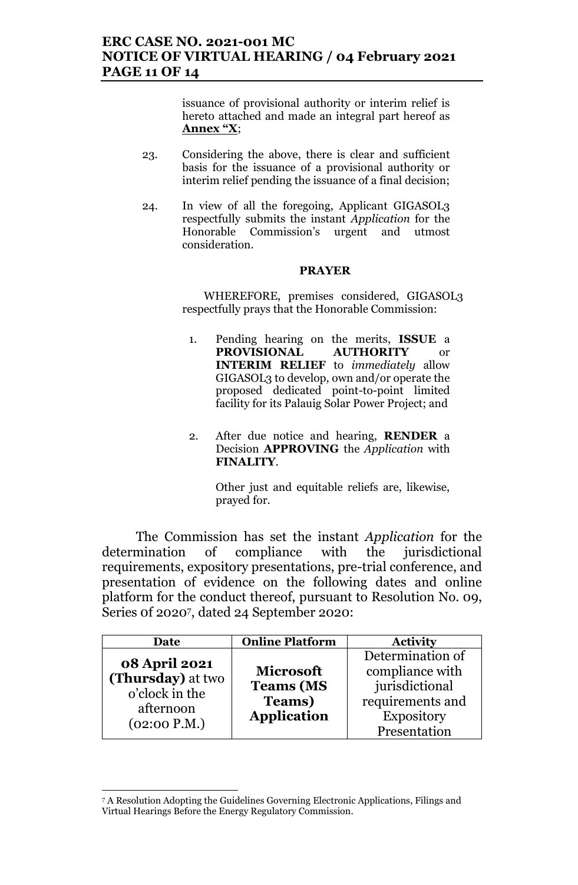# **ERC CASE NO. 2021-001 MC NOTICE OF VIRTUAL HEARING / 04 February 2021 PAGE 11 OF 14**

issuance of provisional authority or interim relief is hereto attached and made an integral part hereof as **Annex "X**;

- 23. Considering the above, there is clear and sufficient basis for the issuance of a provisional authority or interim relief pending the issuance of a final decision;
- 24. In view of all the foregoing, Applicant GIGASOL3 respectfully submits the instant *Application* for the Honorable Commission's urgent and utmost consideration.

#### **PRAYER**

WHEREFORE, premises considered, GIGASOL3 respectfully prays that the Honorable Commission:

- 1. Pending hearing on the merits, **ISSUE** a **PROVISIONAL AUTHORITY** or **INTERIM RELIEF** to *immediately* allow GIGASOL3 to develop, own and/or operate the proposed dedicated point-to-point limited facility for its Palauig Solar Power Project; and
- 2. After due notice and hearing, **RENDER** a Decision **APPROVING** the *Application* with **FINALITY**.

Other just and equitable reliefs are, likewise, prayed for.

The Commission has set the instant *Application* for the determination of compliance with the jurisdictional requirements, expository presentations, pre-trial conference, and presentation of evidence on the following dates and online platform for the conduct thereof, pursuant to Resolution No. 09, Series 0f 2020<sup>7</sup> , dated 24 September 2020:

| Date                                                                     | <b>Online Platform</b> | <b>Activity</b>   |
|--------------------------------------------------------------------------|------------------------|-------------------|
|                                                                          |                        | Determination of  |
| <b>08 April 2021</b><br>(Thursday) at two<br>o'clock in the<br>afternoon | <b>Microsoft</b>       | compliance with   |
|                                                                          | <b>Teams (MS</b>       | jurisdictional    |
|                                                                          | <b>Teams</b> )         | requirements and  |
|                                                                          | <b>Application</b>     | <b>Expository</b> |
| (02:00 P.M.)                                                             |                        | Presentation      |

<sup>7</sup> A Resolution Adopting the Guidelines Governing Electronic Applications, Filings and Virtual Hearings Before the Energy Regulatory Commission.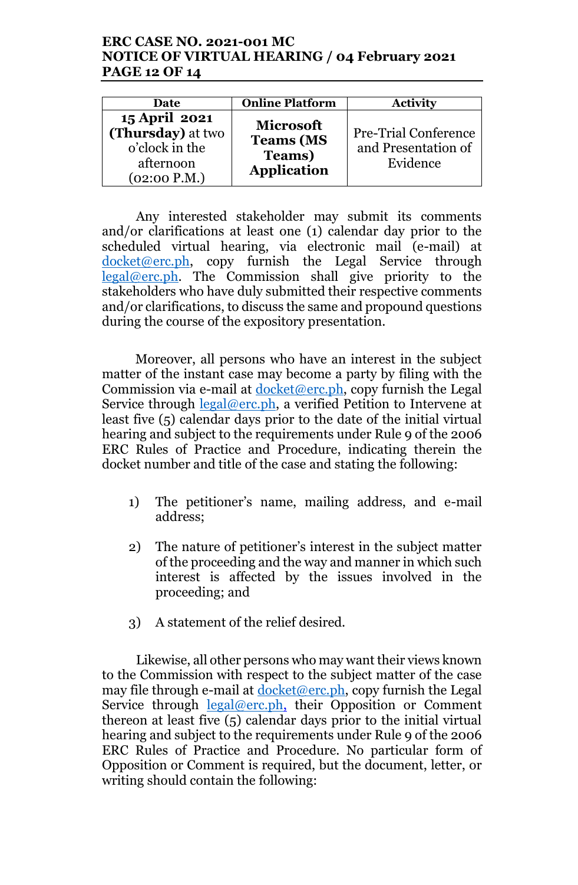# **ERC CASE NO. 2021-001 MC NOTICE OF VIRTUAL HEARING / 04 February 2021 PAGE 12 OF 14**

| Date                                                                              | <b>Online Platform</b>                                                       | <b>Activity</b>                                                |
|-----------------------------------------------------------------------------------|------------------------------------------------------------------------------|----------------------------------------------------------------|
| 15 April 2021<br>(Thursday) at two<br>o'clock in the<br>afternoon<br>(02:00 P.M.) | <b>Microsoft</b><br><b>Teams (MS</b><br><b>Teams</b> )<br><b>Application</b> | <b>Pre-Trial Conference</b><br>and Presentation of<br>Evidence |

Any interested stakeholder may submit its comments and/or clarifications at least one (1) calendar day prior to the scheduled virtual hearing, via electronic mail (e-mail) at  $docket@erc.ph$ , copy furnish the Legal Service through legal@erc.ph. The Commission shall give priority to the stakeholders who have duly submitted their respective comments and/or clarifications, to discuss the same and propound questions during the course of the expository presentation.

Moreover, all persons who have an interest in the subject matter of the instant case may become a party by filing with the Commission via e-mail at  $d$ ocket@erc.ph, copy furnish the Legal Service through legal@erc.ph, a verified Petition to Intervene at least five (5) calendar days prior to the date of the initial virtual hearing and subject to the requirements under Rule 9 of the 2006 ERC Rules of Practice and Procedure, indicating therein the docket number and title of the case and stating the following:

- 1) The petitioner's name, mailing address, and e-mail address;
- 2) The nature of petitioner's interest in the subject matter of the proceeding and the way and manner in which such interest is affected by the issues involved in the proceeding; and
- 3) A statement of the relief desired.

Likewise, all other persons who may want their views known to the Commission with respect to the subject matter of the case may file through e-mail at docket@erc.ph, copy furnish the Legal Service through <u>legal@erc.ph</u>, their Opposition or Comment thereon at least five (5) calendar days prior to the initial virtual hearing and subject to the requirements under Rule 9 of the 2006 ERC Rules of Practice and Procedure. No particular form of Opposition or Comment is required, but the document, letter, or writing should contain the following: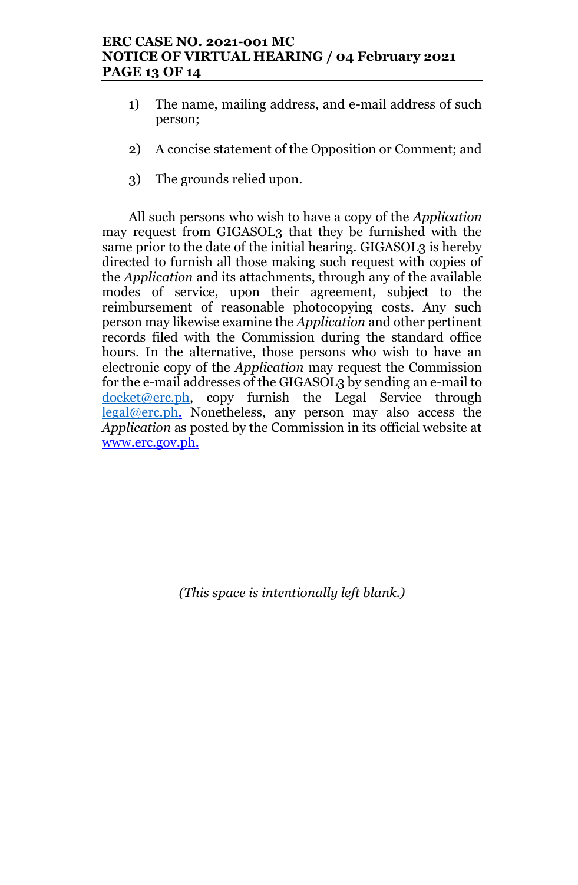# **ERC CASE NO. 2021-001 MC NOTICE OF VIRTUAL HEARING / 04 February 2021 PAGE 13 OF 14**

- 1) The name, mailing address, and e-mail address of such person;
- 2) A concise statement of the Opposition or Comment; and
- 3) The grounds relied upon.

All such persons who wish to have a copy of the *Application* may request from GIGASOL3 that they be furnished with the same prior to the date of the initial hearing. GIGASOL3 is hereby directed to furnish all those making such request with copies of the *Application* and its attachments, through any of the available modes of service, upon their agreement, subject to the reimbursement of reasonable photocopying costs. Any such person may likewise examine the *Application* and other pertinent records filed with the Commission during the standard office hours. In the alternative, those persons who wish to have an electronic copy of the *Application* may request the Commission for the e-mail addresses of the GIGASOL3 by sending an e-mail to  $docket@erc.ph$ , copy furnish the Legal Service through legal@erc.ph. Nonetheless, any person may also access the *Application* as posted by the Commission in its official website at www.erc.gov.ph.

*(This space is intentionally left blank.)*